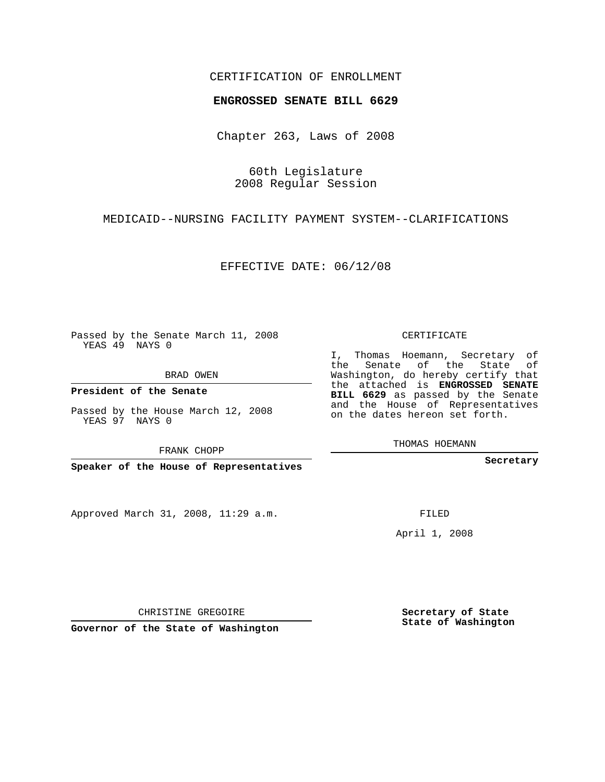## CERTIFICATION OF ENROLLMENT

## **ENGROSSED SENATE BILL 6629**

Chapter 263, Laws of 2008

60th Legislature 2008 Regular Session

MEDICAID--NURSING FACILITY PAYMENT SYSTEM--CLARIFICATIONS

EFFECTIVE DATE: 06/12/08

Passed by the Senate March 11, 2008 YEAS 49 NAYS 0

BRAD OWEN

**President of the Senate**

Passed by the House March 12, 2008 YEAS 97 NAYS 0

FRANK CHOPP

**Speaker of the House of Representatives**

Approved March 31, 2008, 11:29 a.m.

CERTIFICATE

I, Thomas Hoemann, Secretary of the Senate of the State of Washington, do hereby certify that the attached is **ENGROSSED SENATE BILL 6629** as passed by the Senate and the House of Representatives on the dates hereon set forth.

THOMAS HOEMANN

**Secretary**

FILED

April 1, 2008

**Secretary of State State of Washington**

CHRISTINE GREGOIRE

**Governor of the State of Washington**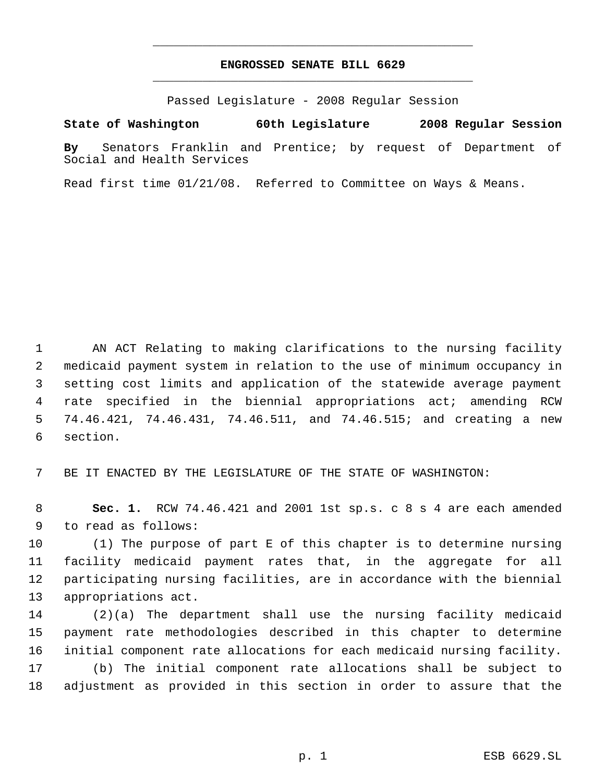## **ENGROSSED SENATE BILL 6629** \_\_\_\_\_\_\_\_\_\_\_\_\_\_\_\_\_\_\_\_\_\_\_\_\_\_\_\_\_\_\_\_\_\_\_\_\_\_\_\_\_\_\_\_\_

\_\_\_\_\_\_\_\_\_\_\_\_\_\_\_\_\_\_\_\_\_\_\_\_\_\_\_\_\_\_\_\_\_\_\_\_\_\_\_\_\_\_\_\_\_

Passed Legislature - 2008 Regular Session

**State of Washington 60th Legislature 2008 Regular Session**

**By** Senators Franklin and Prentice; by request of Department of Social and Health Services

Read first time 01/21/08. Referred to Committee on Ways & Means.

 AN ACT Relating to making clarifications to the nursing facility medicaid payment system in relation to the use of minimum occupancy in setting cost limits and application of the statewide average payment rate specified in the biennial appropriations act; amending RCW 74.46.421, 74.46.431, 74.46.511, and 74.46.515; and creating a new section.

BE IT ENACTED BY THE LEGISLATURE OF THE STATE OF WASHINGTON:

 **Sec. 1.** RCW 74.46.421 and 2001 1st sp.s. c 8 s 4 are each amended to read as follows:

 (1) The purpose of part E of this chapter is to determine nursing facility medicaid payment rates that, in the aggregate for all participating nursing facilities, are in accordance with the biennial appropriations act.

 (2)(a) The department shall use the nursing facility medicaid payment rate methodologies described in this chapter to determine initial component rate allocations for each medicaid nursing facility. (b) The initial component rate allocations shall be subject to adjustment as provided in this section in order to assure that the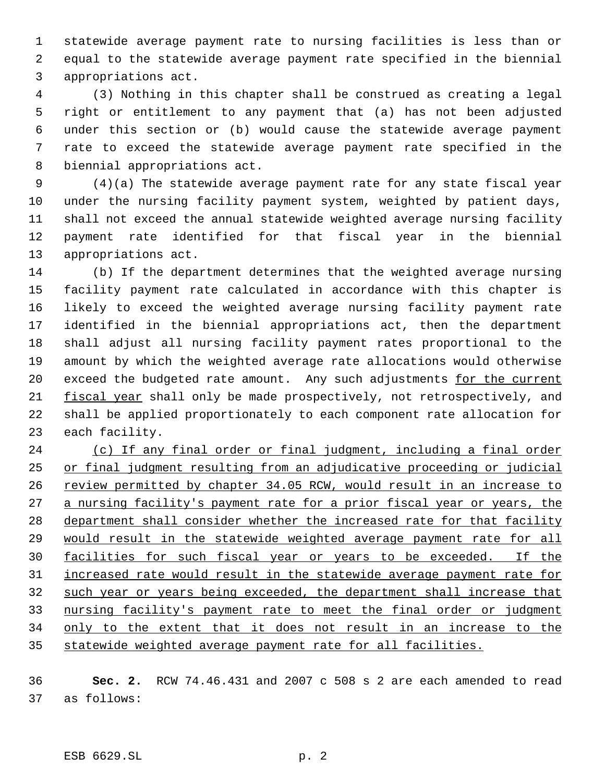statewide average payment rate to nursing facilities is less than or equal to the statewide average payment rate specified in the biennial appropriations act.

 (3) Nothing in this chapter shall be construed as creating a legal right or entitlement to any payment that (a) has not been adjusted under this section or (b) would cause the statewide average payment rate to exceed the statewide average payment rate specified in the biennial appropriations act.

 (4)(a) The statewide average payment rate for any state fiscal year under the nursing facility payment system, weighted by patient days, shall not exceed the annual statewide weighted average nursing facility payment rate identified for that fiscal year in the biennial appropriations act.

 (b) If the department determines that the weighted average nursing facility payment rate calculated in accordance with this chapter is likely to exceed the weighted average nursing facility payment rate identified in the biennial appropriations act, then the department shall adjust all nursing facility payment rates proportional to the amount by which the weighted average rate allocations would otherwise 20 exceed the budgeted rate amount. Any such adjustments for the current fiscal year shall only be made prospectively, not retrospectively, and shall be applied proportionately to each component rate allocation for each facility.

 (c) If any final order or final judgment, including a final order or final judgment resulting from an adjudicative proceeding or judicial 26 review permitted by chapter 34.05 RCW, would result in an increase to 27 a nursing facility's payment rate for a prior fiscal year or years, the department shall consider whether the increased rate for that facility would result in the statewide weighted average payment rate for all facilities for such fiscal year or years to be exceeded. If the increased rate would result in the statewide average payment rate for 32 such year or years being exceeded, the department shall increase that nursing facility's payment rate to meet the final order or judgment 34 only to the extent that it does not result in an increase to the statewide weighted average payment rate for all facilities.

 **Sec. 2.** RCW 74.46.431 and 2007 c 508 s 2 are each amended to read as follows: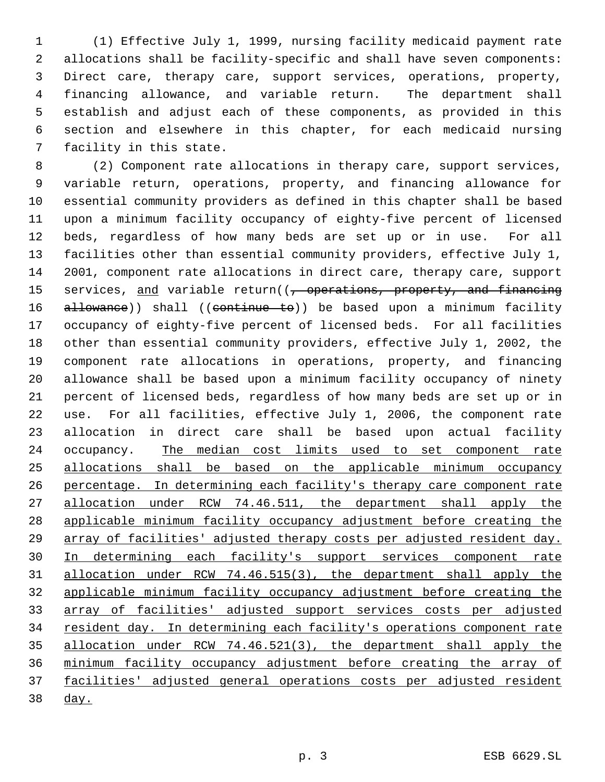(1) Effective July 1, 1999, nursing facility medicaid payment rate allocations shall be facility-specific and shall have seven components: Direct care, therapy care, support services, operations, property, financing allowance, and variable return. The department shall establish and adjust each of these components, as provided in this section and elsewhere in this chapter, for each medicaid nursing facility in this state.

 (2) Component rate allocations in therapy care, support services, variable return, operations, property, and financing allowance for essential community providers as defined in this chapter shall be based upon a minimum facility occupancy of eighty-five percent of licensed beds, regardless of how many beds are set up or in use. For all facilities other than essential community providers, effective July 1, 2001, component rate allocations in direct care, therapy care, support 15 services, and variable return((, operations, property, and financing 16 allowance)) shall ((continue to)) be based upon a minimum facility occupancy of eighty-five percent of licensed beds. For all facilities other than essential community providers, effective July 1, 2002, the component rate allocations in operations, property, and financing allowance shall be based upon a minimum facility occupancy of ninety percent of licensed beds, regardless of how many beds are set up or in use. For all facilities, effective July 1, 2006, the component rate allocation in direct care shall be based upon actual facility 24 occupancy. The median cost limits used to set component rate allocations shall be based on the applicable minimum occupancy percentage. In determining each facility's therapy care component rate allocation under RCW 74.46.511, the department shall apply the applicable minimum facility occupancy adjustment before creating the array of facilities' adjusted therapy costs per adjusted resident day. In determining each facility's support services component rate allocation under RCW 74.46.515(3), the department shall apply the applicable minimum facility occupancy adjustment before creating the array of facilities' adjusted support services costs per adjusted 34 resident day. In determining each facility's operations component rate allocation under RCW 74.46.521(3), the department shall apply the minimum facility occupancy adjustment before creating the array of facilities' adjusted general operations costs per adjusted resident day.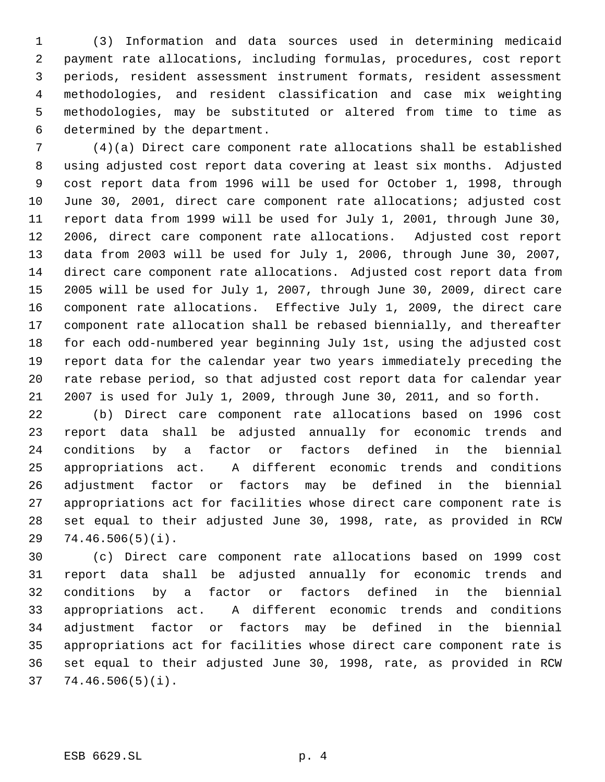(3) Information and data sources used in determining medicaid payment rate allocations, including formulas, procedures, cost report periods, resident assessment instrument formats, resident assessment methodologies, and resident classification and case mix weighting methodologies, may be substituted or altered from time to time as determined by the department.

 (4)(a) Direct care component rate allocations shall be established using adjusted cost report data covering at least six months. Adjusted cost report data from 1996 will be used for October 1, 1998, through June 30, 2001, direct care component rate allocations; adjusted cost report data from 1999 will be used for July 1, 2001, through June 30, 2006, direct care component rate allocations. Adjusted cost report data from 2003 will be used for July 1, 2006, through June 30, 2007, direct care component rate allocations. Adjusted cost report data from 2005 will be used for July 1, 2007, through June 30, 2009, direct care component rate allocations. Effective July 1, 2009, the direct care component rate allocation shall be rebased biennially, and thereafter for each odd-numbered year beginning July 1st, using the adjusted cost report data for the calendar year two years immediately preceding the rate rebase period, so that adjusted cost report data for calendar year 2007 is used for July 1, 2009, through June 30, 2011, and so forth.

 (b) Direct care component rate allocations based on 1996 cost report data shall be adjusted annually for economic trends and conditions by a factor or factors defined in the biennial appropriations act. A different economic trends and conditions adjustment factor or factors may be defined in the biennial appropriations act for facilities whose direct care component rate is set equal to their adjusted June 30, 1998, rate, as provided in RCW 74.46.506(5)(i).

 (c) Direct care component rate allocations based on 1999 cost report data shall be adjusted annually for economic trends and conditions by a factor or factors defined in the biennial appropriations act. A different economic trends and conditions adjustment factor or factors may be defined in the biennial appropriations act for facilities whose direct care component rate is set equal to their adjusted June 30, 1998, rate, as provided in RCW 74.46.506(5)(i).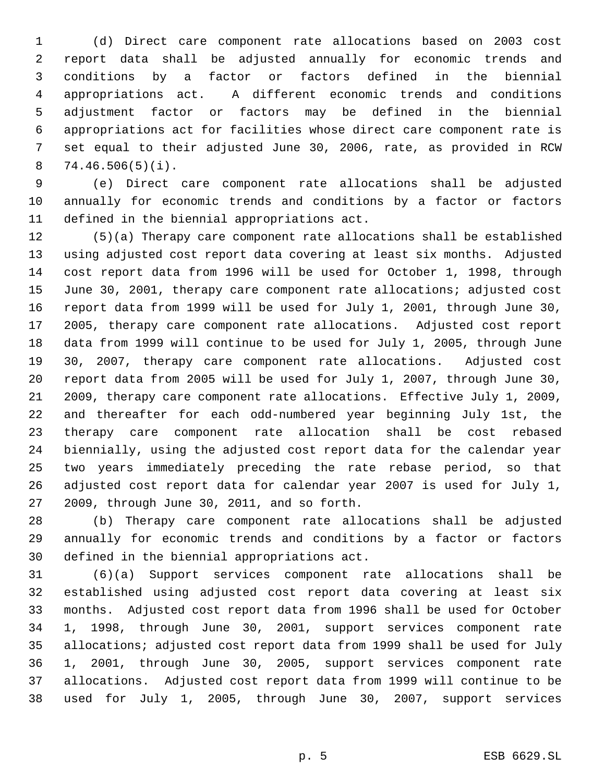(d) Direct care component rate allocations based on 2003 cost report data shall be adjusted annually for economic trends and conditions by a factor or factors defined in the biennial appropriations act. A different economic trends and conditions adjustment factor or factors may be defined in the biennial appropriations act for facilities whose direct care component rate is set equal to their adjusted June 30, 2006, rate, as provided in RCW 74.46.506(5)(i).

 (e) Direct care component rate allocations shall be adjusted annually for economic trends and conditions by a factor or factors defined in the biennial appropriations act.

 (5)(a) Therapy care component rate allocations shall be established using adjusted cost report data covering at least six months. Adjusted cost report data from 1996 will be used for October 1, 1998, through June 30, 2001, therapy care component rate allocations; adjusted cost report data from 1999 will be used for July 1, 2001, through June 30, 2005, therapy care component rate allocations. Adjusted cost report data from 1999 will continue to be used for July 1, 2005, through June 30, 2007, therapy care component rate allocations. Adjusted cost report data from 2005 will be used for July 1, 2007, through June 30, 2009, therapy care component rate allocations. Effective July 1, 2009, and thereafter for each odd-numbered year beginning July 1st, the therapy care component rate allocation shall be cost rebased biennially, using the adjusted cost report data for the calendar year two years immediately preceding the rate rebase period, so that adjusted cost report data for calendar year 2007 is used for July 1, 2009, through June 30, 2011, and so forth.

 (b) Therapy care component rate allocations shall be adjusted annually for economic trends and conditions by a factor or factors defined in the biennial appropriations act.

 (6)(a) Support services component rate allocations shall be established using adjusted cost report data covering at least six months. Adjusted cost report data from 1996 shall be used for October 1, 1998, through June 30, 2001, support services component rate allocations; adjusted cost report data from 1999 shall be used for July 1, 2001, through June 30, 2005, support services component rate allocations. Adjusted cost report data from 1999 will continue to be used for July 1, 2005, through June 30, 2007, support services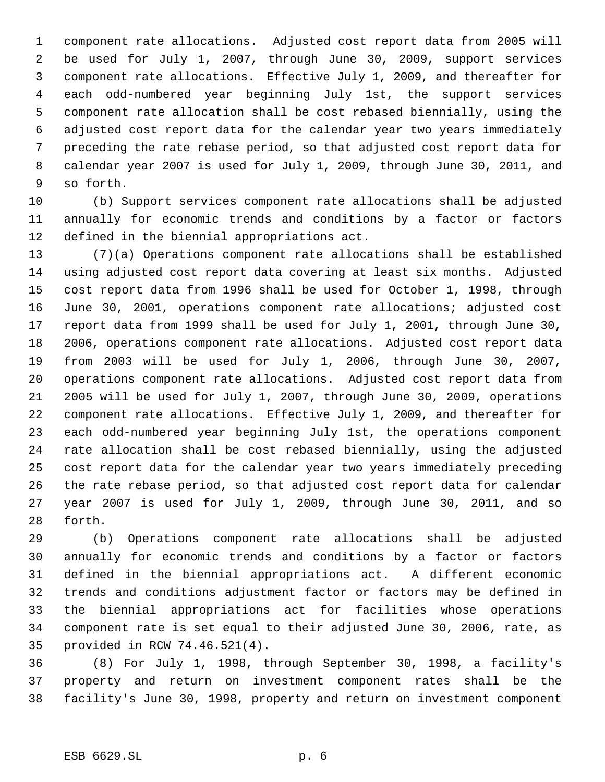component rate allocations. Adjusted cost report data from 2005 will be used for July 1, 2007, through June 30, 2009, support services component rate allocations. Effective July 1, 2009, and thereafter for each odd-numbered year beginning July 1st, the support services component rate allocation shall be cost rebased biennially, using the adjusted cost report data for the calendar year two years immediately preceding the rate rebase period, so that adjusted cost report data for calendar year 2007 is used for July 1, 2009, through June 30, 2011, and so forth.

 (b) Support services component rate allocations shall be adjusted annually for economic trends and conditions by a factor or factors defined in the biennial appropriations act.

 (7)(a) Operations component rate allocations shall be established using adjusted cost report data covering at least six months. Adjusted cost report data from 1996 shall be used for October 1, 1998, through June 30, 2001, operations component rate allocations; adjusted cost report data from 1999 shall be used for July 1, 2001, through June 30, 2006, operations component rate allocations. Adjusted cost report data from 2003 will be used for July 1, 2006, through June 30, 2007, operations component rate allocations. Adjusted cost report data from 2005 will be used for July 1, 2007, through June 30, 2009, operations component rate allocations. Effective July 1, 2009, and thereafter for each odd-numbered year beginning July 1st, the operations component rate allocation shall be cost rebased biennially, using the adjusted cost report data for the calendar year two years immediately preceding the rate rebase period, so that adjusted cost report data for calendar year 2007 is used for July 1, 2009, through June 30, 2011, and so forth.

 (b) Operations component rate allocations shall be adjusted annually for economic trends and conditions by a factor or factors defined in the biennial appropriations act. A different economic trends and conditions adjustment factor or factors may be defined in the biennial appropriations act for facilities whose operations component rate is set equal to their adjusted June 30, 2006, rate, as provided in RCW 74.46.521(4).

 (8) For July 1, 1998, through September 30, 1998, a facility's property and return on investment component rates shall be the facility's June 30, 1998, property and return on investment component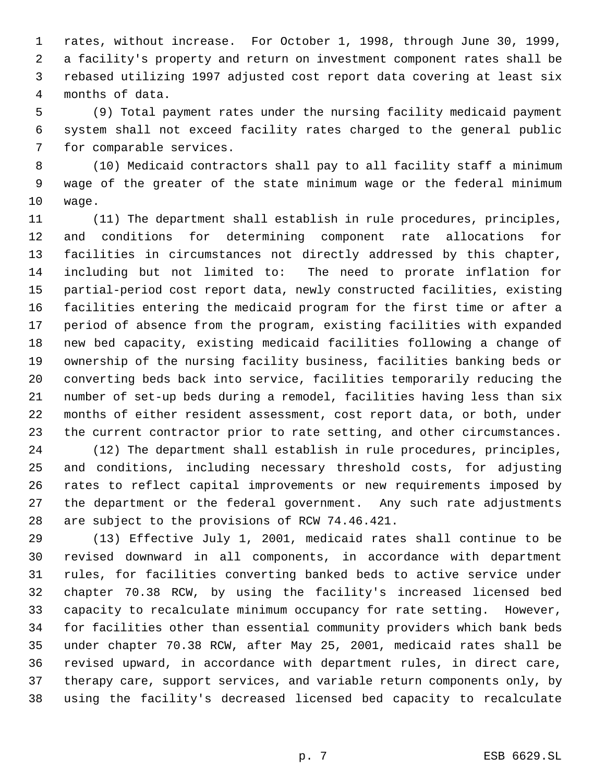rates, without increase. For October 1, 1998, through June 30, 1999, a facility's property and return on investment component rates shall be rebased utilizing 1997 adjusted cost report data covering at least six months of data.

 (9) Total payment rates under the nursing facility medicaid payment system shall not exceed facility rates charged to the general public for comparable services.

 (10) Medicaid contractors shall pay to all facility staff a minimum wage of the greater of the state minimum wage or the federal minimum wage.

 (11) The department shall establish in rule procedures, principles, and conditions for determining component rate allocations for facilities in circumstances not directly addressed by this chapter, including but not limited to: The need to prorate inflation for partial-period cost report data, newly constructed facilities, existing facilities entering the medicaid program for the first time or after a period of absence from the program, existing facilities with expanded new bed capacity, existing medicaid facilities following a change of ownership of the nursing facility business, facilities banking beds or converting beds back into service, facilities temporarily reducing the number of set-up beds during a remodel, facilities having less than six months of either resident assessment, cost report data, or both, under the current contractor prior to rate setting, and other circumstances.

 (12) The department shall establish in rule procedures, principles, and conditions, including necessary threshold costs, for adjusting rates to reflect capital improvements or new requirements imposed by the department or the federal government. Any such rate adjustments are subject to the provisions of RCW 74.46.421.

 (13) Effective July 1, 2001, medicaid rates shall continue to be revised downward in all components, in accordance with department rules, for facilities converting banked beds to active service under chapter 70.38 RCW, by using the facility's increased licensed bed capacity to recalculate minimum occupancy for rate setting. However, for facilities other than essential community providers which bank beds under chapter 70.38 RCW, after May 25, 2001, medicaid rates shall be revised upward, in accordance with department rules, in direct care, therapy care, support services, and variable return components only, by using the facility's decreased licensed bed capacity to recalculate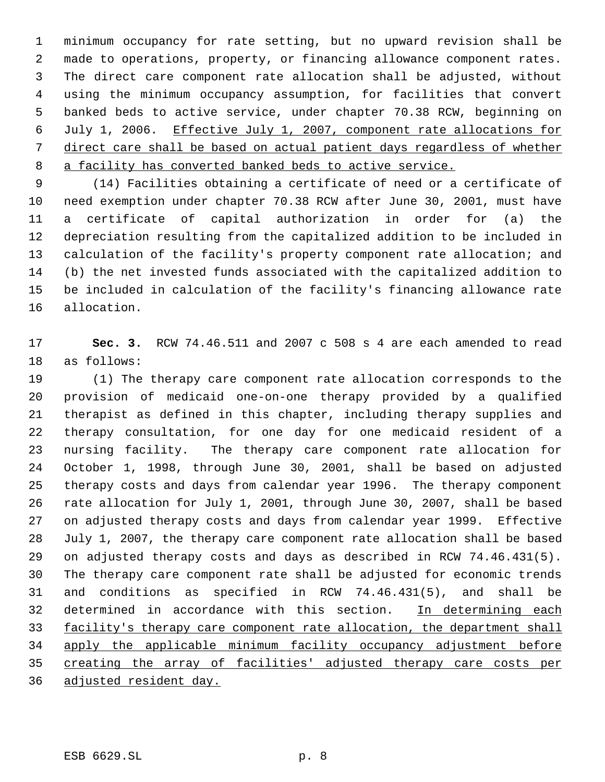minimum occupancy for rate setting, but no upward revision shall be made to operations, property, or financing allowance component rates. The direct care component rate allocation shall be adjusted, without using the minimum occupancy assumption, for facilities that convert banked beds to active service, under chapter 70.38 RCW, beginning on July 1, 2006. Effective July 1, 2007, component rate allocations for direct care shall be based on actual patient days regardless of whether a facility has converted banked beds to active service.

 (14) Facilities obtaining a certificate of need or a certificate of need exemption under chapter 70.38 RCW after June 30, 2001, must have a certificate of capital authorization in order for (a) the depreciation resulting from the capitalized addition to be included in calculation of the facility's property component rate allocation; and (b) the net invested funds associated with the capitalized addition to be included in calculation of the facility's financing allowance rate allocation.

 **Sec. 3.** RCW 74.46.511 and 2007 c 508 s 4 are each amended to read as follows:

 (1) The therapy care component rate allocation corresponds to the provision of medicaid one-on-one therapy provided by a qualified therapist as defined in this chapter, including therapy supplies and therapy consultation, for one day for one medicaid resident of a nursing facility. The therapy care component rate allocation for October 1, 1998, through June 30, 2001, shall be based on adjusted therapy costs and days from calendar year 1996. The therapy component rate allocation for July 1, 2001, through June 30, 2007, shall be based on adjusted therapy costs and days from calendar year 1999. Effective July 1, 2007, the therapy care component rate allocation shall be based on adjusted therapy costs and days as described in RCW 74.46.431(5). The therapy care component rate shall be adjusted for economic trends and conditions as specified in RCW 74.46.431(5), and shall be determined in accordance with this section. In determining each 33 facility's therapy care component rate allocation, the department shall 34 apply the applicable minimum facility occupancy adjustment before creating the array of facilities' adjusted therapy care costs per adjusted resident day.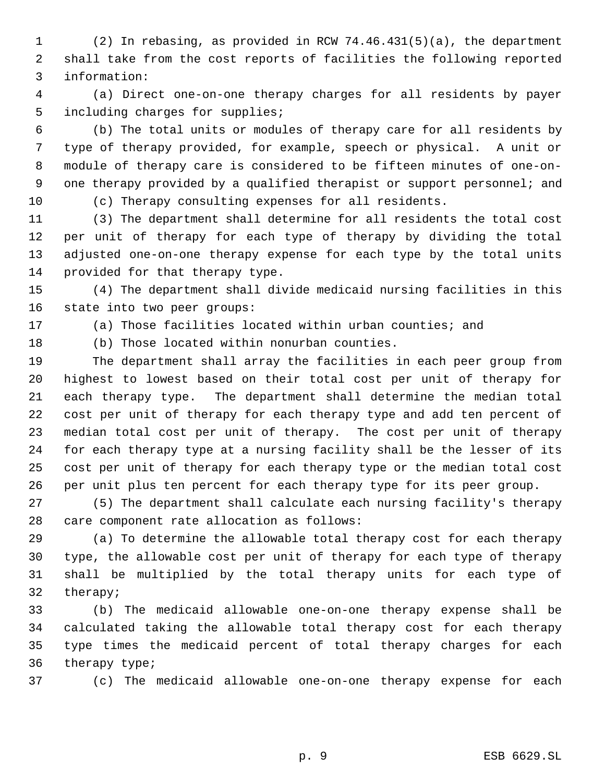(2) In rebasing, as provided in RCW 74.46.431(5)(a), the department shall take from the cost reports of facilities the following reported information:

 (a) Direct one-on-one therapy charges for all residents by payer including charges for supplies;

 (b) The total units or modules of therapy care for all residents by type of therapy provided, for example, speech or physical. A unit or module of therapy care is considered to be fifteen minutes of one-on- one therapy provided by a qualified therapist or support personnel; and

(c) Therapy consulting expenses for all residents.

 (3) The department shall determine for all residents the total cost per unit of therapy for each type of therapy by dividing the total adjusted one-on-one therapy expense for each type by the total units provided for that therapy type.

 (4) The department shall divide medicaid nursing facilities in this state into two peer groups:

(a) Those facilities located within urban counties; and

(b) Those located within nonurban counties.

 The department shall array the facilities in each peer group from highest to lowest based on their total cost per unit of therapy for each therapy type. The department shall determine the median total cost per unit of therapy for each therapy type and add ten percent of median total cost per unit of therapy. The cost per unit of therapy for each therapy type at a nursing facility shall be the lesser of its cost per unit of therapy for each therapy type or the median total cost per unit plus ten percent for each therapy type for its peer group.

 (5) The department shall calculate each nursing facility's therapy care component rate allocation as follows:

 (a) To determine the allowable total therapy cost for each therapy type, the allowable cost per unit of therapy for each type of therapy shall be multiplied by the total therapy units for each type of therapy;

 (b) The medicaid allowable one-on-one therapy expense shall be calculated taking the allowable total therapy cost for each therapy type times the medicaid percent of total therapy charges for each therapy type;

(c) The medicaid allowable one-on-one therapy expense for each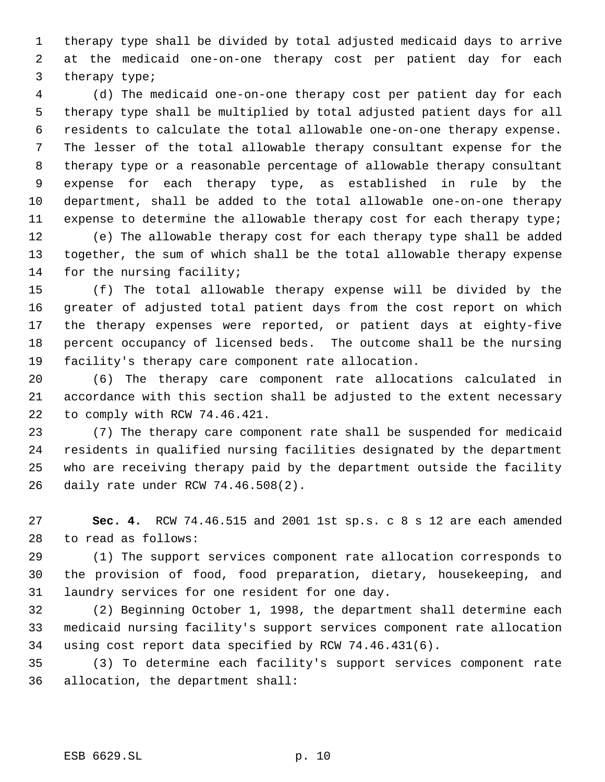therapy type shall be divided by total adjusted medicaid days to arrive at the medicaid one-on-one therapy cost per patient day for each therapy type;

 (d) The medicaid one-on-one therapy cost per patient day for each therapy type shall be multiplied by total adjusted patient days for all residents to calculate the total allowable one-on-one therapy expense. The lesser of the total allowable therapy consultant expense for the therapy type or a reasonable percentage of allowable therapy consultant expense for each therapy type, as established in rule by the department, shall be added to the total allowable one-on-one therapy 11 expense to determine the allowable therapy cost for each therapy type; (e) The allowable therapy cost for each therapy type shall be added together, the sum of which shall be the total allowable therapy expense 14 for the nursing facility;

 (f) The total allowable therapy expense will be divided by the greater of adjusted total patient days from the cost report on which the therapy expenses were reported, or patient days at eighty-five percent occupancy of licensed beds. The outcome shall be the nursing facility's therapy care component rate allocation.

 (6) The therapy care component rate allocations calculated in accordance with this section shall be adjusted to the extent necessary to comply with RCW 74.46.421.

 (7) The therapy care component rate shall be suspended for medicaid residents in qualified nursing facilities designated by the department who are receiving therapy paid by the department outside the facility daily rate under RCW 74.46.508(2).

 **Sec. 4.** RCW 74.46.515 and 2001 1st sp.s. c 8 s 12 are each amended to read as follows:

 (1) The support services component rate allocation corresponds to the provision of food, food preparation, dietary, housekeeping, and laundry services for one resident for one day.

 (2) Beginning October 1, 1998, the department shall determine each medicaid nursing facility's support services component rate allocation using cost report data specified by RCW 74.46.431(6).

 (3) To determine each facility's support services component rate allocation, the department shall: